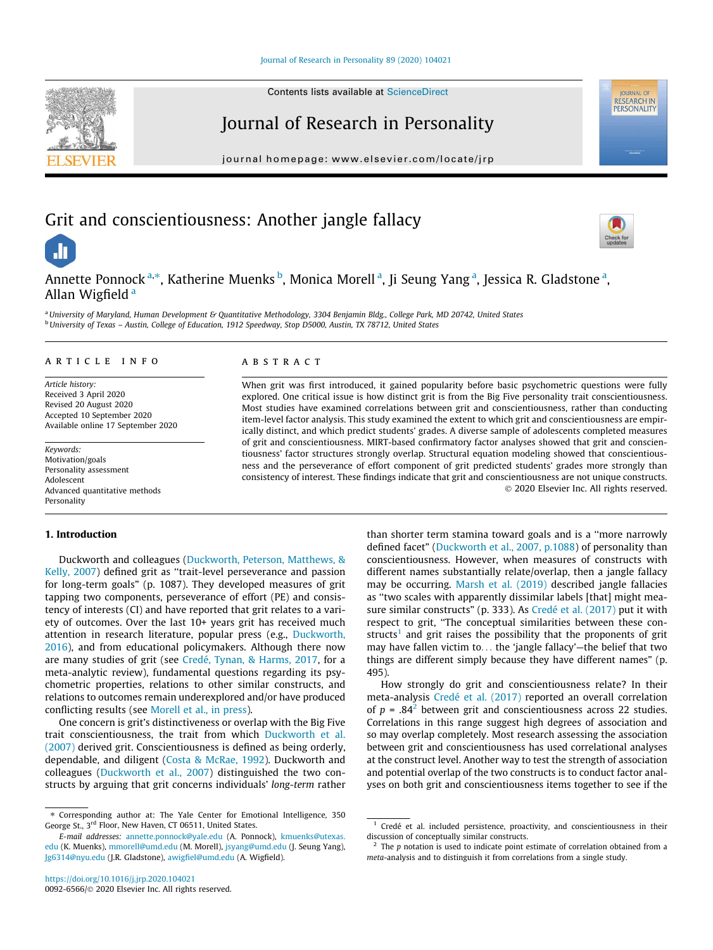Contents lists available at ScienceDirect

# Journal of Research in Personality

journal homepage: www.elsevier.com/locate/jrp

# Grit and conscientiousness: Another jangle fallacy



**IOURNAL OF** RESEARCH IN

Annette Ponnock<sup>a,\*</sup>, Katherine Muenks <sup>b</sup>, Monica Morell<sup>a</sup>, Ji Seung Yang<sup>a</sup>, Jessica R. Gladstone<sup>a</sup>, Allan Wigfield <sup>a</sup>

<sup>a</sup>*University of Maryland, Human Development & Quantitative Methodology, 3304 Benjamin Bldg., College Park, MD 20742, United States* <sup>b</sup>*University of Texas – Austin, College of Education, 1912 Speedway, Stop D5000, Austin, TX 78712, United States*

# article info

*Article history:* Received 3 April 2020 Revised 20 August 2020 Accepted 10 September 2020 Available online 17 September 2020

*Keywords:* Motivation/goals Personality assessment Adolescent Advanced quantitative methods Personality

## 1. Introduction

Duckworth and colleagues (Duckworth, Peterson, Matthews, & Kelly, 2007) defined grit as ''trait-level perseverance and passion for long-term goals" (p. 1087). They developed measures of grit tapping two components, perseverance of effort (PE) and consistency of interests (CI) and have reported that grit relates to a variety of outcomes. Over the last 10+ years grit has received much attention in research literature, popular press (e.g., Duckworth, 2016), and from educational policymakers. Although there now are many studies of grit (see Credé, Tynan, & Harms, 2017, for a meta-analytic review), fundamental questions regarding its psychometric properties, relations to other similar constructs, and relations to outcomes remain underexplored and/or have produced conflicting results (see Morell et al., in press).

One concern is grit's distinctiveness or overlap with the Big Five trait conscientiousness, the trait from which Duckworth et al. (2007) derived grit. Conscientiousness is defined as being orderly, dependable, and diligent (Costa & McRae, 1992). Duckworth and colleagues (Duckworth et al., 2007) distinguished the two constructs by arguing that grit concerns individuals' *long-term* rather

# **ABSTRACT**

When grit was first introduced, it gained popularity before basic psychometric questions were fully explored. One critical issue is how distinct grit is from the Big Five personality trait conscientiousness. Most studies have examined correlations between grit and conscientiousness, rather than conducting item-level factor analysis. This study examined the extent to which grit and conscientiousness are empirically distinct, and which predict students' grades. A diverse sample of adolescents completed measures of grit and conscientiousness. MIRT-based confirmatory factor analyses showed that grit and conscientiousness' factor structures strongly overlap. Structural equation modeling showed that conscientiousness and the perseverance of effort component of grit predicted students' grades more strongly than consistency of interest. These findings indicate that grit and conscientiousness are not unique constructs. 2020 Elsevier Inc. All rights reserved.

> than shorter term stamina toward goals and is a ''more narrowly defined facet" (Duckworth et al., 2007, p.1088) of personality than conscientiousness. However, when measures of constructs with different names substantially relate/overlap, then a jangle fallacy may be occurring. Marsh et al. (2019) described jangle fallacies as ''two scales with apparently dissimilar labels [that] might measure similar constructs" (p. 333). As Credé et al. (2017) put it with respect to grit, ''The conceptual similarities between these constructs<sup>1</sup> and grit raises the possibility that the proponents of grit may have fallen victim to... the 'jangle fallacy'—the belief that two things are different simply because they have different names" (p. 495).

> How strongly do grit and conscientiousness relate? In their meta-analysis Credé et al. (2017) reported an overall correlation of  $p = .84<sup>2</sup>$  between grit and conscientiousness across 22 studies. Correlations in this range suggest high degrees of association and so may overlap completely. Most research assessing the association between grit and conscientiousness has used correlational analyses at the construct level. Another way to test the strength of association and potential overlap of the two constructs is to conduct factor analyses on both grit and conscientiousness items together to see if the



.h

<sup>⇑</sup> Corresponding author at: The Yale Center for Emotional Intelligence, 350 George St., 3<sup>rd</sup> Floor, New Haven, CT 06511, United States.

*E-mail addresses:* annette.ponnock@yale.edu (A. Ponnock), kmuenks@utexas. edu (K. Muenks), mmorell@umd.edu (M. Morell), jsyang@umd.edu (J. Seung Yang), Jg6314@nyu.edu (J.R. Gladstone), awigfiel@umd.edu (A. Wigfield).

<sup>&</sup>lt;sup>1</sup> Credé et al. included persistence, proactivity, and conscientiousness in their discussion of conceptually similar constructs.

<sup>&</sup>lt;sup>2</sup> The *p* notation is used to indicate point estimate of correlation obtained from a *meta*-analysis and to distinguish it from correlations from a single study.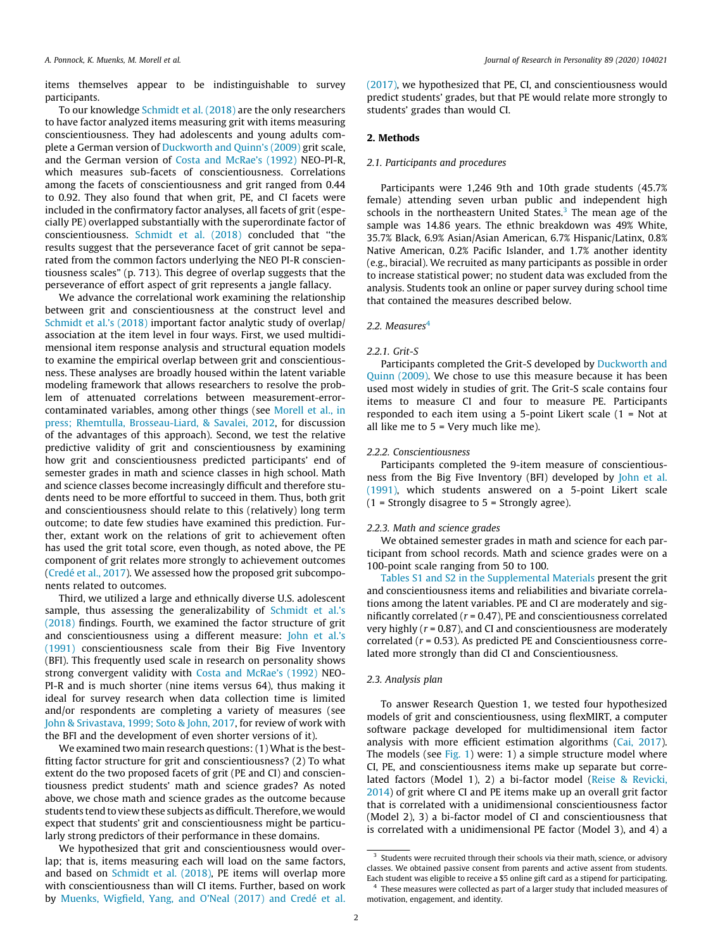items themselves appear to be indistinguishable to survey participants.

To our knowledge Schmidt et al. (2018) are the only researchers to have factor analyzed items measuring grit with items measuring conscientiousness. They had adolescents and young adults complete a German version of Duckworth and Quinn's (2009) grit scale, and the German version of Costa and McRae's (1992) NEO-PI-R, which measures sub-facets of conscientiousness. Correlations among the facets of conscientiousness and grit ranged from 0.44 to 0.92. They also found that when grit, PE, and CI facets were included in the confirmatory factor analyses, all facets of grit (especially PE) overlapped substantially with the superordinate factor of conscientiousness. Schmidt et al. (2018) concluded that ''the results suggest that the perseverance facet of grit cannot be separated from the common factors underlying the NEO PI-R conscientiousness scales" (p. 713). This degree of overlap suggests that the perseverance of effort aspect of grit represents a jangle fallacy.

We advance the correlational work examining the relationship between grit and conscientiousness at the construct level and Schmidt et al.'s (2018) important factor analytic study of overlap/ association at the item level in four ways. First, we used multidimensional item response analysis and structural equation models to examine the empirical overlap between grit and conscientiousness. These analyses are broadly housed within the latent variable modeling framework that allows researchers to resolve the problem of attenuated correlations between measurement-errorcontaminated variables, among other things (see Morell et al., in press; Rhemtulla, Brosseau-Liard, & Savalei, 2012, for discussion of the advantages of this approach). Second, we test the relative predictive validity of grit and conscientiousness by examining how grit and conscientiousness predicted participants' end of semester grades in math and science classes in high school. Math and science classes become increasingly difficult and therefore students need to be more effortful to succeed in them. Thus, both grit and conscientiousness should relate to this (relatively) long term outcome; to date few studies have examined this prediction. Further, extant work on the relations of grit to achievement often has used the grit total score, even though, as noted above, the PE component of grit relates more strongly to achievement outcomes (Credé et al., 2017). We assessed how the proposed grit subcomponents related to outcomes.

Third, we utilized a large and ethnically diverse U.S. adolescent sample, thus assessing the generalizability of Schmidt et al.'s (2018) findings. Fourth, we examined the factor structure of grit and conscientiousness using a different measure: John et al.'s (1991) conscientiousness scale from their Big Five Inventory (BFI). This frequently used scale in research on personality shows strong convergent validity with Costa and McRae's (1992) NEO-PI-R and is much shorter (nine items versus 64), thus making it ideal for survey research when data collection time is limited and/or respondents are completing a variety of measures (see John & Srivastava, 1999; Soto & John, 2017, for review of work with the BFI and the development of even shorter versions of it).

We examined two main research questions: (1) What is the bestfitting factor structure for grit and conscientiousness? (2) To what extent do the two proposed facets of grit (PE and CI) and conscientiousness predict students' math and science grades? As noted above, we chose math and science grades as the outcome because students tend to view these subjects as difficult. Therefore, we would expect that students' grit and conscientiousness might be particularly strong predictors of their performance in these domains.

We hypothesized that grit and conscientiousness would overlap; that is, items measuring each will load on the same factors, and based on Schmidt et al. (2018), PE items will overlap more with conscientiousness than will CI items. Further, based on work by Muenks, Wigfield, Yang, and O'Neal (2017) and Credé et al.

(2017), we hypothesized that PE, CI, and conscientiousness would predict students' grades, but that PE would relate more strongly to students' grades than would CI.

#### 2. Methods

# *2.1. Participants and procedures*

Participants were 1,246 9th and 10th grade students (45.7% female) attending seven urban public and independent high schools in the northeastern United States.<sup>3</sup> The mean age of the sample was 14.86 years. The ethnic breakdown was 49% White, 35.7% Black, 6.9% Asian/Asian American, 6.7% Hispanic/Latinx, 0.8% Native American, 0.2% Pacific Islander, and 1.7% another identity (e.g., biracial). We recruited as many participants as possible in order to increase statistical power; no student data was excluded from the analysis. Students took an online or paper survey during school time that contained the measures described below.

## 2.2. Measures<sup>4</sup>

## *2.2.1. Grit-S*

Participants completed the Grit-S developed by Duckworth and Quinn (2009). We chose to use this measure because it has been used most widely in studies of grit. The Grit-S scale contains four items to measure CI and four to measure PE. Participants responded to each item using a 5-point Likert scale (1 = Not at all like me to 5 = Very much like me).

# *2.2.2. Conscientiousness*

Participants completed the 9-item measure of conscientiousness from the Big Five Inventory (BFI) developed by John et al. (1991), which students answered on a 5-point Likert scale  $(1 -$  Strongly disagree to  $5 -$  Strongly agree).

#### *2.2.3. Math and science grades*

We obtained semester grades in math and science for each participant from school records. Math and science grades were on a 100-point scale ranging from 50 to 100.

Tables S1 and S2 in the Supplemental Materials present the grit and conscientiousness items and reliabilities and bivariate correlations among the latent variables. PE and CI are moderately and significantly correlated (*r* = 0.47), PE and conscientiousness correlated very highly (*r* = 0.87), and CI and conscientiousness are moderately correlated (*r* = 0.53). As predicted PE and Conscientiousness correlated more strongly than did CI and Conscientiousness.

# *2.3. Analysis plan*

To answer Research Question 1, we tested four hypothesized models of grit and conscientiousness, using flexMIRT, a computer software package developed for multidimensional item factor analysis with more efficient estimation algorithms (Cai, 2017). The models (see Fig. 1) were: 1) a simple structure model where CI, PE, and conscientiousness items make up separate but correlated factors (Model 1), 2) a bi-factor model (Reise & Revicki, 2014) of grit where CI and PE items make up an overall grit factor that is correlated with a unidimensional conscientiousness factor (Model 2), 3) a bi-factor model of CI and conscientiousness that is correlated with a unidimensional PE factor (Model 3), and 4) a

<sup>&</sup>lt;sup>3</sup> Students were recruited through their schools via their math, science, or advisory classes. We obtained passive consent from parents and active assent from students. Each student was eligible to receive a \$5 online gift card as a stipend for participating.

<sup>&</sup>lt;sup>4</sup> These measures were collected as part of a larger study that included measures of motivation, engagement, and identity.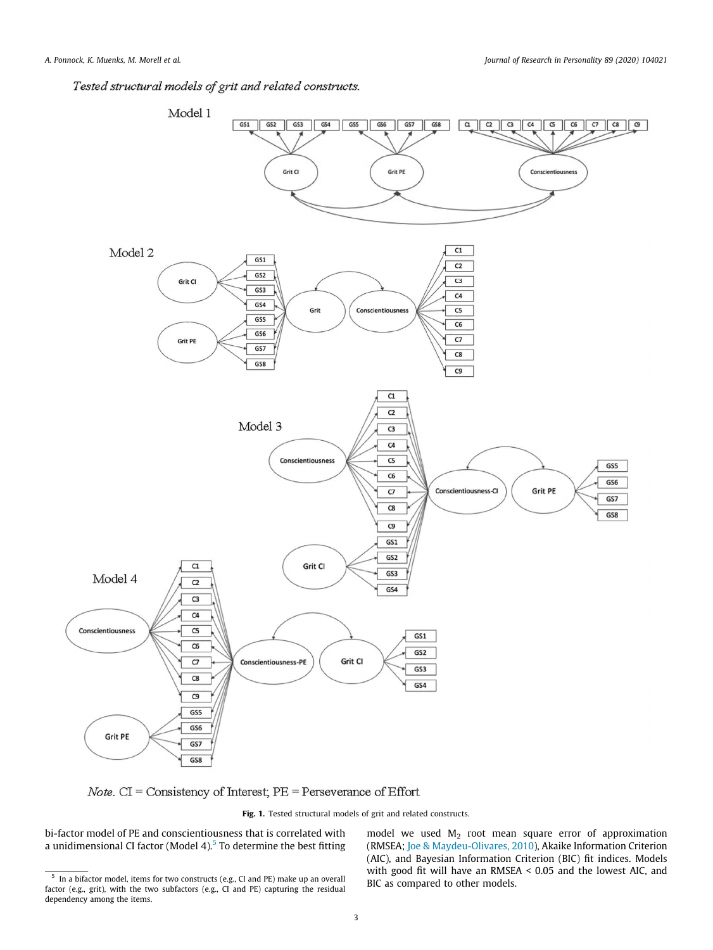Tested structural models of grit and related constructs.



*Note*.  $CI = Consistency of Interest, PE = Perseverage of Effort$ 

Fig. 1. Tested structural models of grit and related constructs.

bi-factor model of PE and conscientiousness that is correlated with a unidimensional CI factor (Model 4).<sup>5</sup> To determine the best fitting

model we used  $M_2$  root mean square error of approximation (RMSEA; Joe & Maydeu-Olivares, 2010), Akaike Information Criterion (AIC), and Bayesian Information Criterion (BIC) fit indices. Models with good fit will have an RMSEA < 0.05 and the lowest AIC, and BIC as compared to other models.

<sup>&</sup>lt;sup>5</sup> In a bifactor model, items for two constructs (e.g., CI and PE) make up an overall factor (e.g., grit), with the two subfactors (e.g., CI and PE) capturing the residual dependency among the items.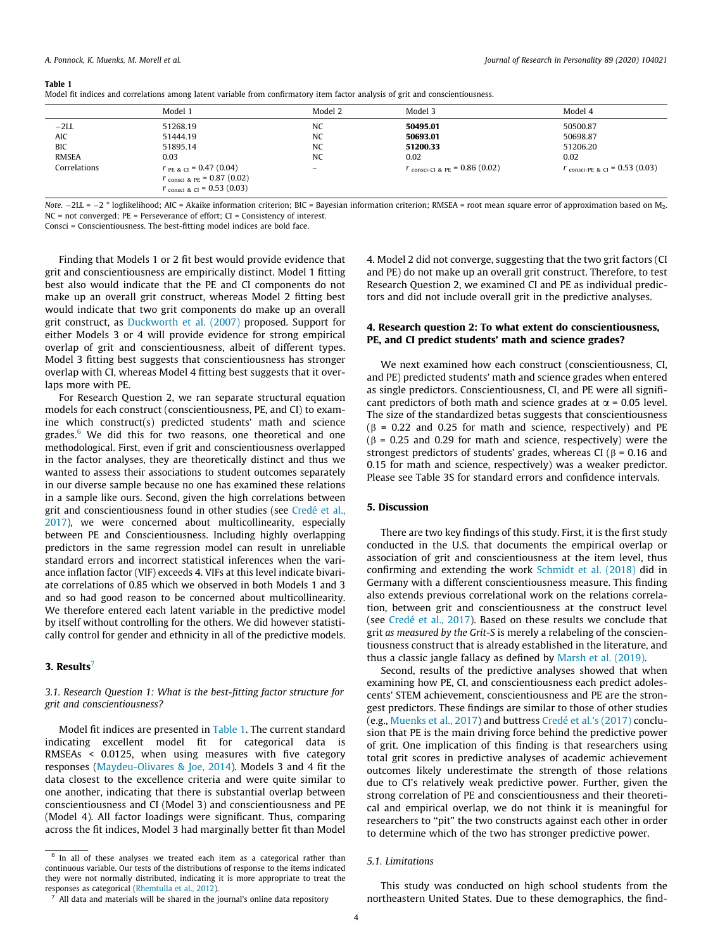Table 1

|                                                                    | Model 1                                                                          | Model 2                                                               | Model 3                                                                               | Model 4                                                                              |
|--------------------------------------------------------------------|----------------------------------------------------------------------------------|-----------------------------------------------------------------------|---------------------------------------------------------------------------------------|--------------------------------------------------------------------------------------|
| $-2LL$<br><b>AIC</b><br><b>BIC</b><br><b>RMSEA</b><br>Correlations | 51268.19<br>51444.19<br>51895.14<br>0.03<br>$r_{PE & CI}$ = 0.47 (0.04)          | NC<br><b>NC</b><br><b>NC</b><br><b>NC</b><br>$\overline{\phantom{0}}$ | 50495.01<br>50693.01<br>51200.33<br>0.02<br>$r_{\text{consci-Cl}}$ & PE = 0.86 (0.02) | 50500.87<br>50698.87<br>51206.20<br>0.02<br>$r_{\text{consci-PE } < 1} = 0.53(0.03)$ |
|                                                                    | $r_{\text{consci 8 PE}} = 0.87 (0.02)$<br>$r_{\text{consci 8 CI}} = 0.53 (0.03)$ |                                                                       |                                                                                       |                                                                                      |

| .                                                                                                                              |  |  |
|--------------------------------------------------------------------------------------------------------------------------------|--|--|
| Model fit indices and correlations among latent variable from confirmatory item factor analysis of grit and conscientiousness. |  |  |

*Note.*  $-2LL = -2$  \* loglikelihood; AIC = Akaike information criterion; BIC = Bayesian information criterion; RMSEA = root mean square error of approximation based on M<sub>2</sub>. NC = not converged; PE = Perseverance of effort; CI = Consistency of interest.

Consci = Conscientiousness. The best-fitting model indices are bold face.

Finding that Models 1 or 2 fit best would provide evidence that grit and conscientiousness are empirically distinct. Model 1 fitting best also would indicate that the PE and CI components do not make up an overall grit construct, whereas Model 2 fitting best would indicate that two grit components do make up an overall grit construct, as Duckworth et al. (2007) proposed. Support for either Models 3 or 4 will provide evidence for strong empirical overlap of grit and conscientiousness, albeit of different types. Model 3 fitting best suggests that conscientiousness has stronger overlap with CI, whereas Model 4 fitting best suggests that it overlaps more with PE.

For Research Question 2, we ran separate structural equation models for each construct (conscientiousness, PE, and CI) to examine which construct(s) predicted students' math and science grades.<sup>6</sup> We did this for two reasons, one theoretical and one methodological. First, even if grit and conscientiousness overlapped in the factor analyses, they are theoretically distinct and thus we wanted to assess their associations to student outcomes separately in our diverse sample because no one has examined these relations in a sample like ours. Second, given the high correlations between grit and conscientiousness found in other studies (see Credé et al., 2017), we were concerned about multicollinearity, especially between PE and Conscientiousness. Including highly overlapping predictors in the same regression model can result in unreliable standard errors and incorrect statistical inferences when the variance inflation factor (VIF) exceeds 4. VIFs at this level indicate bivariate correlations of 0.85 which we observed in both Models 1 and 3 and so had good reason to be concerned about multicollinearity. We therefore entered each latent variable in the predictive model by itself without controlling for the others. We did however statistically control for gender and ethnicity in all of the predictive models.

# 3. Results $7$

*3.1. Research Question 1: What is the best-fitting factor structure for grit and conscientiousness?*

Model fit indices are presented in Table 1. The current standard indicating excellent model fit for categorical data is RMSEAs < 0.0125, when using measures with five category responses (Maydeu-Olivares & Joe, 2014). Models 3 and 4 fit the data closest to the excellence criteria and were quite similar to one another, indicating that there is substantial overlap between conscientiousness and CI (Model 3) and conscientiousness and PE (Model 4). All factor loadings were significant. Thus, comparing across the fit indices, Model 3 had marginally better fit than Model

All data and materials will be shared in the journal's online data repository

4. Model 2 did not converge, suggesting that the two grit factors (CI and PE) do not make up an overall grit construct. Therefore, to test Research Question 2, we examined CI and PE as individual predictors and did not include overall grit in the predictive analyses.

# 4. Research question 2: To what extent do conscientiousness, PE, and CI predict students' math and science grades?

We next examined how each construct (conscientiousness, CI, and PE) predicted students' math and science grades when entered as single predictors. Conscientiousness, CI, and PE were all significant predictors of both math and science grades at  $\alpha$  = 0.05 level. The size of the standardized betas suggests that conscientiousness  $(6 - 0.22$  and 0.25 for math and science, respectively) and PE  $(\beta = 0.25$  and 0.29 for math and science, respectively) were the strongest predictors of students' grades, whereas CI ( $\beta$  = 0.16 and 0.15 for math and science, respectively) was a weaker predictor. Please see Table 3S for standard errors and confidence intervals.

# 5. Discussion

There are two key findings of this study. First, it is the first study conducted in the U.S. that documents the empirical overlap or association of grit and conscientiousness at the item level, thus confirming and extending the work Schmidt et al. (2018) did in Germany with a different conscientiousness measure. This finding also extends previous correlational work on the relations correlation, between grit and conscientiousness at the construct level (see Credé et al., 2017). Based on these results we conclude that grit *as measured by the Grit-S* is merely a relabeling of the conscientiousness construct that is already established in the literature, and thus a classic jangle fallacy as defined by Marsh et al. (2019).

Second, results of the predictive analyses showed that when examining how PE, CI, and conscientiousness each predict adolescents' STEM achievement, conscientiousness and PE are the strongest predictors. These findings are similar to those of other studies (e.g., Muenks et al., 2017) and buttress Credé et al.'s (2017) conclusion that PE is the main driving force behind the predictive power of grit. One implication of this finding is that researchers using total grit scores in predictive analyses of academic achievement outcomes likely underestimate the strength of those relations due to CI's relatively weak predictive power. Further, given the strong correlation of PE and conscientiousness and their theoretical and empirical overlap, we do not think it is meaningful for researchers to ''pit" the two constructs against each other in order to determine which of the two has stronger predictive power.

## *5.1. Limitations*

This study was conducted on high school students from the northeastern United States. Due to these demographics, the find-

<sup>&</sup>lt;sup>6</sup> In all of these analyses we treated each item as a categorical rather than continuous variable. Our tests of the distributions of response to the items indicated they were not normally distributed, indicating it is more appropriate to treat the responses as categorical (Rhemtulla et al., 2012).